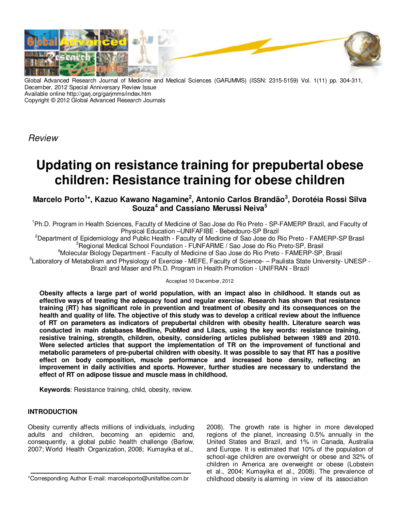

Global Advanced Research Journal of Medicine and Medical Sciences (GARJMMS) (ISSN: 2315-5159) Vol. 1(11) pp. 304-311, December, 2012 Special Anniversary Review Issue Available online http://garj.org/garjmms/index.htm Copyright © 2012 Global Advanced Research Journals

Review

# **Updating on resistance training for prepubertal obese children: Resistance training for obese children**

**Marcelo Porto<sup>1</sup> \*, Kazuo Kawano Nagamine<sup>2</sup> , Antonio Carlos Brandão<sup>3</sup> , Dorotéia Rossi Silva Souza<sup>4</sup>and Cassiano Merussi Neiva<sup>5</sup>**

<sup>1</sup>Ph.D. Program in Health Sciences, Faculty of Medicine of Sao Jose do Rio Preto - SP-FAMERP Brazil, and Faculty of Physical Education –UNIFAFIBE - Bebedouro-SP Brazil

<sup>2</sup>Department of Epidemiology and Public Health - Faculty of Medicine of Sao Jose do Rio Preto - FAMERP-SP Brasil <sup>3</sup>Regional Medical School Foundation - FUNFARME / Sao Jose do Rio Preto-SP, Brasil

<sup>4</sup>Molecular Biology Department - Faculty of Medicine of Sao Jose do Rio Preto - FAMERP-SP, Brasil <sup>5</sup>Laboratory of Metabolism and Physiology of Exercise - MEFE, Faculty of Science- – Paulista State University- UNESP -Brazil and Maser and Ph.D. Program in Health Promotion - UNIFRAN - Brazil

Accepted 10 December, 2012

**Obesity affects a large part of world population, with an impact also in childhood. It stands out as effective ways of treating the adequacy food and regular exercise. Research has shown that resistance training (RT) has significant role in prevention and treatment of obesity and its consequences on the health and quality of life. The objective of this study was to develop a critical review about the influence of RT on parameters as indicators of prepubertal children with obesity health. Literature search was conducted in main databases Medline, PubMed and Lilacs, using the key words: resistance training, resistive training, strength, children, obesity, considering articles published between 1989 and 2010. Were selected articles that support the implementation of TR on the improvement of functional and metabolic parameters of pre-pubertal children with obesity. It was possible to say that RT has a positive effect on body composition, muscle performance and increased bone density, reflecting an improvement in daily activities and sports. However, further studies are necessary to understand the effect of RT on adipose tissue and muscle mass in childhood.**

**Keywords**: Resistance training, child, obesity, review.

# **INTRODUCTION**

Obesity currently affects millions of individuals, including adults and children, becoming an epidemic and, consequently, a global public health challenge (Barlow, 2007; World Health Organization, 2008; Kumayika et al.,

\*Corresponding Author E-mail: marceloporto@unifafibe.com.br

2008). The growth rate is higher in more developed regions of the planet, increasing 0.5% annually in the United States and Brazil, and 1% in Canada, Australia and Europe. It is estimated that 10% of the population of school-age children are overweight or obese and 32% of children in America are overweight or obese (Lobstein et al., 2004; Kumayika et al., 2008). The prevalence of childhood obesity is alarming in view of its association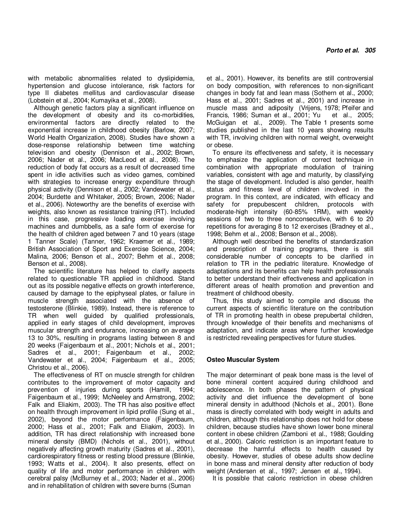with metabolic abnormalities related to dyslipidemia, hypertension and glucose intolerance, risk factors for type II diabetes mellitus and cardiovascular disease (Lobstein et al., 2004; Kumayika et al., 2008).

Although genetic factors play a significant influence on the development of obesity and its co-morbidities, environmental factors are directly related to the exponential increase in childhood obesity (Barlow, 2007; World Health Organization, 2008). Studies have shown a dose-response relationship between time watching television and obesity (Dennison et al., 2002; Brown, 2006; Nader et al., 2006; MacLeod et al., 2008). The reduction of body fat occurs as a result of decreased time spent in idle activities such as video games, combined with strategies to increase energy expenditure through physical activity (Dennison et al., 2002; Vandewater et al., 2004; Burdette and Whitaker, 2005; Brown, 2006; Nader et al., 2006). Noteworthy are the benefits of exercise with weights, also known as resistance training (RT). Included in this case, progressive loading exercise involving machines and dumbbells, as a safe form of exercise for the health of children aged between 7 and 10 years (stage 1 Tanner Scale) (Tanner, 1962; Kraemer et al., 1989; British Association of Sport and Exercise Science, 2004; Malina, 2006; Benson et al., 2007; Behm et al., 2008; Benson et al., 2008).

The scientific literature has helped to clarify aspects related to questionable TR applied in childhood. Stand out as its possible negative effects on growth interference, caused by damage to the epiphyseal plates, or failure in muscle strength associated with the absence of testosterone (Blinkie, 1989). Instead, there is reference to TR when well guided by qualified professionals, applied in early stages of child development, improves muscular strength and endurance, increasing on average 13 to 30%, resulting in programs lasting between 8 and 20 weeks (Faigenbaum et al., 2001; Nichols et al., 2001; Sadres et al., 2001; Faigenbaum et al., 2002; Vandewater et al., 2004; Faigenbaum et al., 2005; Christou et al., 2006).

The effectiveness of RT on muscle strength for children contributes to the improvement of motor capacity and prevention of injuries during sports (Hamill, 1994; Faigenbaum et al., 1999; McNeeley and Armstrong, 2002; Falk and Eliakim, 2003). The TR has also positive effect on health through improvement in lipid profile (Sung et al., 2002), beyond the motor performance (Faigenbaum, 2000; Hass et al., 2001; Falk and Eliakim, 2003). In addition, TR has direct relationship with increased bone mineral density (BMD) (Nichols et al., 2001), without negatively affecting growth maturity (Sadres et al., 2001), cardiorespiratory fitness or resting blood pressure (Blinkie, 1993; Watts et al., 2004). It also presents, effect on quality of life and motor performance in children with cerebral palsy (McBurney et al., 2003; Nader et al., 2006) and in rehabilitation of children with severe burns (Suman

et al., 2001). However, its benefits are still controversial on body composition, with references to non-significant changes in body fat and lean mass (Sothern et al., 2000; Hass et al., 2001; Sadres et al., 2001) and increase in muscle mass and adiposity (Vrijens, 1978; Pfeifer and Francis, 1986; Suman et al., 2001; Yu et al., 2005; McGuigan et al., 2009). The Table 1 presents some studies published in the last 10 years showing results with TR, involving children with normal weight, overweight or obese.

To ensure its effectiveness and safety, it is necessary to emphasize the application of correct technique in combination with appropriate modulation of training variables, consistent with age and maturity, by classifying the stage of development. Included is also gender, health status and fitness level of children involved in the program. In this context, are indicated, with efficacy and safety for prepubescent children, protocols with moderate-high intensity (60-85% 1RM), with weekly sessions of two to three nonconsecutive, with 6 to 20 repetitions for averaging 8 to 12 exercises (Bradney et al., 1998; Behm et al., 2008; Benson et al., 2008).

Although well described the benefits of standardization and prescription of training programs, there is still considerable number of concepts to be clarified in relation to TR in the pediatric literature. Knowledge of adaptations and its benefits can help health professionals to better understand their effectiveness and application in different areas of health promotion and prevention and treatment of childhood obesity.

Thus, this study aimed to compile and discuss the current aspects of scientific literature on the contribution of TR in promoting health in obese prepubertal children, through knowledge of their benefits and mechanisms of adaptation, and indicate areas where further knowledge is restricted revealing perspectives for future studies.

# **Osteo Muscular System**

The major determinant of peak bone mass is the level of bone mineral content acquired during childhood and adolescence. In both phases the pattern of physical activity and diet influence the development of bone mineral density in adulthood (Nichols et al., 2001). Bone mass is directly correlated with body weight in adults and children, although this relationship does not hold for obese children, because studies have shown lower bone mineral content in obese children (Zamboni et al., 1988; Goulding et al., 2000). Caloric restriction is an important feature to decrease the harmful effects to health caused by obesity. However, studies of obese adults show decline in bone mass and mineral density after reduction of body weight (Andersen et al., 1997; Jensen et al., 1994).

It is possible that caloric restriction in obese children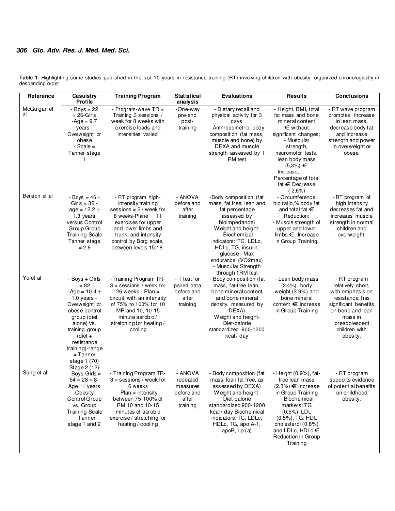**Table 1.** Highlighting some studies published in the last 10 years in resistance training (RT) involving children with obesity, organized chronologically in descending order.

| Reference         | Casuistry<br><b>Profile</b>                                                                                                                                                                                                                 | <b>Training Program</b>                                                                                                                                                                                                | <b>Statistical</b><br>analysis                                     | <b>Evaluations</b>                                                                                                                                                                                                                                                          | <b>Results</b>                                                                                                                                                                                                                                           | <b>Conclusions</b>                                                                                                                                                            |
|-------------------|---------------------------------------------------------------------------------------------------------------------------------------------------------------------------------------------------------------------------------------------|------------------------------------------------------------------------------------------------------------------------------------------------------------------------------------------------------------------------|--------------------------------------------------------------------|-----------------------------------------------------------------------------------------------------------------------------------------------------------------------------------------------------------------------------------------------------------------------------|----------------------------------------------------------------------------------------------------------------------------------------------------------------------------------------------------------------------------------------------------------|-------------------------------------------------------------------------------------------------------------------------------------------------------------------------------|
| McGuigan et<br>al | $-$ Boys = 22<br>$= 26$ -Girls<br>$-Age = 9.7$<br>years -<br>Overweight or<br>obese<br>$-Scale =$<br>Tanner stage<br>1                                                                                                                      | - Program-wave $TR =$<br>Training 3 sessions /<br>week for 8 weeks with<br>exercise loads and<br>intensities varied                                                                                                    | -One-way<br>pre-and<br>post-<br>training                           | - Dietary recall and<br>physical activity for 3<br>days;<br>- Anthropometric, body<br>composition (fat mass,<br>muscle and bone) by<br>DEXA and muscle<br>strength assessed by 1<br>RM test                                                                                 | - Height, BMI, total<br>fat mass and bone<br>mineral content<br>€ without<br>significant changes;<br>- Muscular<br>strength,<br>neuromotor tests,<br>lean body mass<br>$(5,3\%) \in$<br>Increase;<br>Percentage of total<br>fat $\in$ Decrease<br>(2,6%) | - RT wave program<br>promotes increase<br>in lean mass,<br>decrease body fat<br>and increase<br>strength and power<br>in overweight or<br>obese.                              |
| Benson et al      | $-$ Boys = 46 -<br>Girls = $32 -$<br>$age = 12.2 \pm$<br>1.3 years<br>versus Control<br>Group Group<br>Training-Scale<br>Tanner stage<br>$= 2.9$                                                                                            | - RT program high-<br>intensity training<br>sessions = $2 /$ week for<br>8 weeks-Plane = $11$<br>exercises for upper<br>and lower limbs and<br>trunk, and intensity<br>control by Borg scale,<br>between levels 15:18. | - ANOVA<br>before and<br>after<br>training                         | -Body composition (fat<br>mass, fat free, lean and<br>fat percentage<br>assessed by<br>bioimpedance)<br>Weight and height-<br>-Biochemical<br>indicators: TC, LDLc,<br>HDLc, TG, insulin,<br>glucose - Max<br>endurance (VO2max)<br>- Muscular Strength<br>through 1RM test | - Circumference.<br>hip ratio,% body fat<br>and total fat $\in$<br>Reduction;<br>- Muscle strength of<br>upper and lower<br>$l$ imbs $\in$ Increase<br>in Group Training                                                                                 | - RT program of<br>high intensity<br>decreases fat and<br>increases muscle<br>strength in normal<br>children and<br>overweight.                                               |
| Yu et al          | - Boys + Girls<br>$= 82$<br>$-Age = 10.4 \pm$<br>$1.0$ years -<br>Overweight or<br>obese-control<br>group (diet<br>alone) vs.<br>training group<br>$(diet +$<br>resistance<br>training)-range<br>$=$ Tanner<br>stage 1 (70)<br>Stage 2 (12) | -Training Program TR-<br>$3 =$ sessions / week for<br>26 weeks - Plan $=$<br>circuit, with an intensity<br>of 75% to 100% for 10<br>MR and 10, 10-15<br>minute aerobic /<br>stretching for heating/<br>cooling         | - T test for<br>paired data<br>before and<br>after<br>training     | - Body composition (fat<br>mass, fat-free lean,<br>bone mineral content<br>and bone mineral<br>density, measured by<br>DEXA)<br>Weight and height-<br>Diet-calorie<br>standardized 900-1200<br>kcal / day                                                                   | - Lean body mass<br>$(2.4\%)$ , body<br>weight (3.9%) and<br>bone mineral<br>content $\epsilon$ Increase<br>in Group Training                                                                                                                            | - RT program<br>relatively short,<br>with emphasis on<br>resistance, has<br>significant benefits<br>on bone and lean<br>mass in<br>preadolescent<br>children with<br>obesity. |
| Sung et al        | - Boys-Girls =<br>$54 = 28 = 8$<br>Age 11 years<br>-Obesity-<br>Control Group<br>vs. Group<br>Training-Scale<br>= Tanner<br>stage 1 and 2                                                                                                   | - Training Program TR-<br>$3 =$ sessions / week for<br>6 weeks<br>-Plan = intensity<br>between 75-100% of<br>RM 10 and 10-15<br>minutes of aerobic<br>exercise / stretching for<br>heating / cooling                   | - ANOVA<br>repeated<br>measures<br>before and<br>after<br>training | - Body composition (fat<br>mass, lean fat free, as<br>assessed by DEXA)<br>Weight and height-<br>Diet-calorie<br>standardized 900-1200<br>kcal / day Biochemical<br>indicators: TC, LDLc,<br>HDLc, TG, apo A-1,<br>apoB, $Lp(a)$                                            | - Height (0.9%), fat-<br>free lean mass<br>$(2.3\%) \in$ Increase<br>in Group Training<br>- Biochemical<br>markers: TG<br>$(0.5\%)$ , LDL<br>(0.5%), TG: HDL<br>cholesterol (0.8%)<br>and LDLc, HDLc €<br>Reduction in Group<br>Training                 | - RT program<br>supports evidence<br>of potential benefits<br>on childhood<br>obesity.                                                                                        |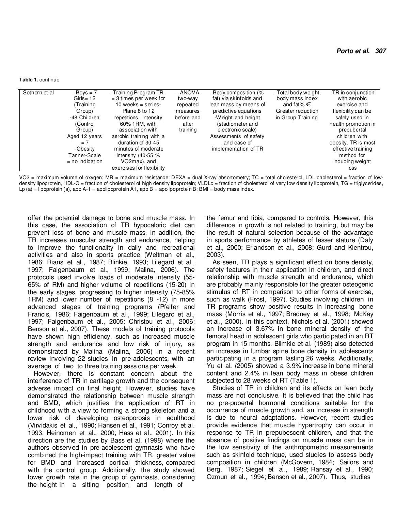#### **Table 1.** continue

| Sothern et al<br>- Boys $= 7$<br>$Girls = 12$<br>(Training<br>Group)<br>-48 Children<br>(Control<br>Group)<br>Aged 12 years<br>$= 7$<br>-Obesity<br>Tanner-Scale<br>$=$ no indication | -Training Program TR-<br>$=$ 3 times per week for<br>10 weeks = series-<br>Plane 8 to 12<br>repetitions, intensity<br>60% 1RM, with<br>association with<br>aerobic training with a<br>duration of 30-45<br>minutes of moderate<br>intensity $(40-55\%$<br>VO2max), and<br>exercises for flexibility | - ANOVA<br>two-way<br>repeated<br>measures<br>before and<br>after<br>training | -Body composition (%<br>fat) via skinfolds and<br>lean mass by means of<br>predictive equations<br>-Weight and height<br>(stadiometer and<br>electronic scale)<br>Assessments of safety<br>and ease of<br>implementation of TR | - Total body weight,<br>body mass index<br>and fat % $\in$<br>Greater reduction<br>in Group Training | -TR in conjunction<br>with aerobic<br>exercise and<br>flexibility can be<br>safely used in<br>health promotion in<br>prepubertal<br>children with<br>obesity. TR is most<br>effective training<br>method for<br>inducing weight<br>loss |
|---------------------------------------------------------------------------------------------------------------------------------------------------------------------------------------|-----------------------------------------------------------------------------------------------------------------------------------------------------------------------------------------------------------------------------------------------------------------------------------------------------|-------------------------------------------------------------------------------|--------------------------------------------------------------------------------------------------------------------------------------------------------------------------------------------------------------------------------|------------------------------------------------------------------------------------------------------|-----------------------------------------------------------------------------------------------------------------------------------------------------------------------------------------------------------------------------------------|
|---------------------------------------------------------------------------------------------------------------------------------------------------------------------------------------|-----------------------------------------------------------------------------------------------------------------------------------------------------------------------------------------------------------------------------------------------------------------------------------------------------|-------------------------------------------------------------------------------|--------------------------------------------------------------------------------------------------------------------------------------------------------------------------------------------------------------------------------|------------------------------------------------------------------------------------------------------|-----------------------------------------------------------------------------------------------------------------------------------------------------------------------------------------------------------------------------------------|

VO2 = maximum volume of oxygen; MR = maximum resistance; DEXA = dual X-ray absortometry; TC = total cholesterol, LDL cholesterol = fraction of lowdensity lipoprotein, HDL-C = fraction of cholesterol of high density lipoprotein; VLDLc = fraction of cholesterol of very low density lipoprotein, TG = triglycerides, Lp (a) = lipoprotein (a), apo A-1 = apolipoprotein A1, apo B = apolipoprotein B; BMI = body mass index.

offer the potential damage to bone and muscle mass. In this case, the association of TR hypocaloric diet can prevent loss of bone and muscle mass, in addition, the TR increases muscular strength and endurance, helping to improve the functionality in daily and recreational activities and also in sports practice (Weltman et al., 1986; Rians et al., 1987; Blinkie, 1993; Lilegard et al., 1997; Faigenbaum et al., 1999; Malina, 2006). The protocols used involve loads of moderate intensity (55- 65% of RM) and higher volume of repetitions (15-20) in the early stages, progressing to higher intensity (75-85% 1RM) and lower number of repetitions (8 -12) in more advanced stages of training programs (Pfeifer and Francis, 1986; Faigenbaum et al., 1999; Lilegard et al., 1997; Faigenbaum et al., 2005; Christou et al., 2006; Benson et al., 2007). These models of training protocols have shown high efficiency, such as increased muscle strength and endurance and low risk of injury, as demonstrated by Malina (Malina, 2006) in a recent review involving 22 studies in pre-adolescents, with an average of two to three training sessions per week.

However, there is constant concern about the interference of TR in cartilage growth and the consequent adverse impact on final height. However, studies have demonstrated the relationship between muscle strength and BMD, which justifies the application of RT in childhood with a view to forming a strong skeleton and a lower risk of developing osteoporosis in adulthood (Virvidakis et al., 1990; Hansen et al., 1991; Conroy et al. 1993, Heinomen et al., 2000; Hass et al., 2001). In this direction are the studies by Bass et al. (1998) where the authors observed in pre-adolescent gymnasts who have combined the high-impact training with TR, greater value for BMD and increased cortical thickness, compared with the control group. Additionally, the study showed lower growth rate in the group of gymnasts, considering the height in a sitting position and length of

the femur and tibia, compared to controls. However, this difference in growth is not related to training, but may be the result of natural selection because of the advantage in sports performance by athletes of lesser stature (Daly et al., 2000; Erlandson et al., 2008; Gurd and Klentrou, 2003).

As seen, TR plays a significant effect on bone density, safety features in their application in children, and direct relationship with muscle strength and endurance, which are probably mainly responsible for the greater osteogenic stimulus of RT in comparison to other forms of exercise, such as walk (Frost, 1997). Studies involving children in TR programs show positive results in increasing bone mass (Morris et al., 1997; Bradney et al., 1998; McKay et al., 2000). In this context, Nichols et al. (2001) showed an increase of 3.67% in bone mineral density of the femoral head in adolescent girls who participated in an RT program in 15 months. Blimkie et al. (1989) also detected an increase in lumbar spine bone density in adolescents participating in a program lasting 26 weeks. Additionally, Yu et al. (2005) showed a 3.9% increase in bone mineral content and 2.4% in lean body mass in obese children subjected to 28 weeks of RT (Table 1).

Studies of TR in children and its effects on lean body mass are not conclusive. It is believed that the child has no pre-pubertal hormonal conditions suitable for the occurrence of muscle growth and, an increase in strength is due to neural adaptations. However, recent studies provide evidence that muscle hypertrophy can occur in response to TR in prepubescent children, and that the absence of positive findings on muscle mass can be in the low sensitivity of the anthropometric measurements such as skinfold technique, used studies to assess body composition in children (McGovern, 1984; Sailors and Berg, 1987; Siegel et al., 1989; Ransay et al., 1990; Ozmun et al., 1994; Benson et al., 2007). Thus, studies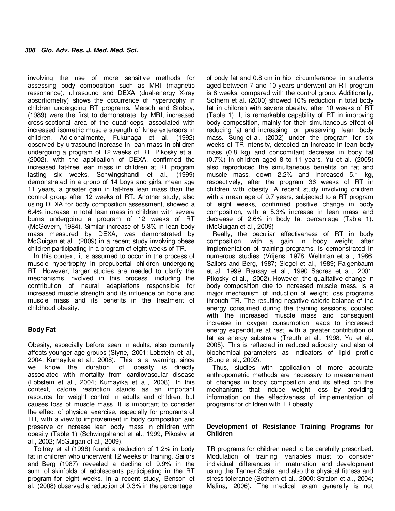involving the use of more sensitive methods for assessing body composition such as MRI (magnetic ressonance), ultrasound and DEXA (dual-energy X-ray absortiometry) shows the occurrence of hypertrophy in children undergoing RT programs. Mersch and Stoboy, (1989) were the first to demonstrate, by MRI, increased cross-sectional area of the quadriceps, associated with increased isometric muscle strength of knee extensors in children. Adicionalmente, Fukunaga et al. (1992) observed by ultrasound increase in lean mass in children undergoing a program of 12 weeks of RT. Pikosky et al. (2002), with the application of DEXA, confirmed the increased fat-free lean mass in children at RT program lasting six weeks. Schwingshandl et al., (1999) demonstrated in a group of 14 boys and girls, mean age 11 years, a greater gain in fat-free lean mass than the control group after 12 weeks of RT. Another study, also using DEXA for body composition assessment, showed a 6.4% increase in total lean mass in children with severe burns undergoing a program of 12 weeks of RT (McGovern, 1984). Similar increase of 5.3% in lean body mass measured by DEXA, was demonstrated by McGuigan et al., (2009) in a recent study involving obese children participating in a program of eight weeks of TR.

In this context, it is assumed to occur in the process of muscle hypertrophy in prepubertal children undergoing RT. However, larger studies are needed to clarify the mechanisms involved in this process, including the contribution of neural adaptations responsible for increased muscle strength and its influence on bone and muscle mass and its benefits in the treatment of childhood obesity.

# **Body Fat**

Obesity, especially before seen in adults, also currently affects younger age groups (Styne, 2001; Lobstein et al., 2004; Kumayika et al., 2008). This is a warning, since we know the duration of obesity is directly associated with mortality from cardiovascular disease (Lobstein et al., 2004; Kumayika et al., 2008). In this context, calorie restriction stands as an important resource for weight control in adults and children, but causes loss of muscle mass. It is important to consider the effect of physical exercise, especially for programs of TR, with a view to improvement in body composition and preserve or increase lean body mass in children with obesity (Table 1) (Schwingshandl et al., 1999; Pikosky et al., 2002; McGuigan et al., 2009).

Tolfrey et al (1998) found a reduction of 1.2% in body fat in children who underwent 12 weeks of training. Sailors and Berg (1987) revealed a decline of 9.9% in the sum of skinfolds of adolescents participating in the RT program for eight weeks. In a recent study, Benson et al. (2008) observed a reduction of 0.3% in the percentage

of body fat and 0.8 cm in hip circumference in students aged between 7 and 10 years underwent an RT program is 8 weeks, compared with the control group. Additionally, Sothern et al. (2000) showed 10% reduction in total body fat in children with severe obesity, after 10 weeks of RT (Table 1). It is remarkable capability of RT in improving body composition, mainly for their simultaneous effect of reducing fat and increasing or preserving lean body mass. Sung et al., (2002) under the program for six weeks of TR intensity, detected an increase in lean body mass (0.8 kg) and concomitant decrease in body fat (0.7%) in children aged 8 to 11 years. Yu et al. (2005) also reproduced the simultaneous benefits on fat and muscle mass, down 2.2% and increased 5.1 kg, respectively, after the program 36 weeks of RT in children with obesity. A recent study involving children with a mean age of 9.7 years, subjected to a RT program of eight weeks, confirmed positive change in body composition, with a 5.3% increase in lean mass and decrease of 2.6% in body fat percentage (Table 1). (McGuigan et al., 2009)

Really, the peculiar effectiveness of RT in body composition, with a gain in body weight after implementation of training programs, is demonstrated in numerous studies (Vrijens, 1978; Weltman et al., 1986; Sailors and Berg, 1987; Siegel et al., 1989; Faigenbaum et al., 1999; Ransay et al., 1990; Sadres et al., 2001; Pikosky et al., 2002). However, the qualitative change in body composition due to increased muscle mass, is a major mechanism of induction of weight loss programs through TR. The resulting negative caloric balance of the energy consumed during the training sessions, coupled with the increased muscle mass and consequent increase in oxygen consumption leads to increased energy expenditure at rest, with a greater contribution of fat as energy substrate (Treuth et al., 1998; Yu et al., 2005). This is reflected in reduced adiposity and also of biochemical parameters as indicators of lipid profile (Sung et al., 2002).

Thus, studies with application of more accurate anthropometric methods are necessary to measurement of changes in body composition and its effect on the mechanisms that induce weight loss by providing information on the effectiveness of implementation of programs for children with TR obesity.

### **Development of Resistance Training Programs for Children**

TR programs for children need to be carefully prescribed. Modulation of training variables must to consider individual differences in maturation and development using the Tanner Scale, and also the physical fitness and stress tolerance (Sothern et al., 2000; Straton et al., 2004; Malina, 2006). The medical exam generally is not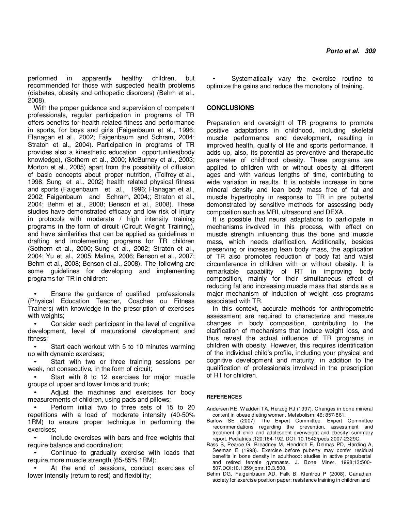performed in apparently healthy children, but recommended for those with suspected health problems (diabetes, obesity and orthopedic disorders) (Behm et al., 2008).

With the proper guidance and supervision of competent professionals, regular participation in programs of TR offers benefits for health related fitness and performance in sports, for boys and girls (Faigenbaum et al., 1996; Flanagan et al., 2002; Faigenbaum and Schram, 2004; Straton et al., 2004). Participation in programs of TR provides also a kinesthetic education opportunities(body knowledge), (Sothern et al., 2000; McBurney et al., 2003; Morton et al., 2005) apart from the possibility of diffusion of basic concepts about proper nutrition, (Tolfrey et al., 1998; Sung et al., 2002) health related physical fitness and sports (Faigenbaum et al., 1996; Flanagan et al., 2002; Faigenbaum and Schram, 2004;; Straton et al., 2004; Behm et al., 2008; Benson et al., 2008). These studies have demonstrated efficacy and low risk of injury in protocols with moderate / high intensity training programs in the form of circuit (Circuit Weight Training), and have similarities that can be applied as guidelines in drafting and implementing programs for TR children (Sothern et al., 2000; Sung et al., 2002; Straton et al., 2004; Yu et al., 2005; Malina, 2006; Benson et al., 2007; Behm et al., 2008; Benson et al., 2008). The following are some guidelines for developing and implementing programs for TR in children:

• Ensure the guidance of qualified professionals (Physical Education Teacher, Coaches ou Fitness Trainers) with knowledge in the prescription of exercises with weights;

• Consider each participant in the level of cognitive development, level of maturational development and fitness;

Start each workout with 5 to 10 minutes warming up with dynamic exercises;

Start with two or three training sessions per week, not consecutive, in the form of circuit;

Start with 8 to 12 exercises for major muscle groups of upper and lower limbs and trunk;

• Adjust the machines and exercises for body measurements of children, using pads and pillows;

• Perform initial two to three sets of 15 to 20 repetitions with a load of moderate intensity (40-50% 1RM) to ensure proper technique in performing the exercises;

• Include exercises with bars and free weights that require balance and coordination;

Continue to gradually exercise with loads that require more muscle strength (65-85% 1RM);

At the end of sessions, conduct exercises of lower intensity (return to rest) and flexibility;

Systematically vary the exercise routine to optimize the gains and reduce the monotony of training.

### **CONCLUSIONS**

Preparation and oversight of TR programs to promote positive adaptations in childhood, including skeletal muscle performance and development, resulting in improved health, quality of life and sports performance. It adds up, also, its potential as preventive and therapeutic parameter of childhood obesity. These programs are applied to children with or without obesity at different ages and with various lengths of time, contributing to wide variation in results. It is notable increase in bone mineral density and lean body mass free of fat and muscle hypertrophy in response to TR in pre pubertal demonstrated by sensitive methods for assessing body composition such as MRI, ultrasound and DEXA.

It is possible that neural adaptations to participate in mechanisms involved in this process, with effect on muscle strength influencing thus the bone and muscle mass, which needs clarification. Additionally, besides preserving or increasing lean body mass, the application of TR also promotes reduction of body fat and waist circumference in children with or without obesity. It is remarkable capability of RT in improving body composition, mainly for their simultaneous effect of reducing fat and increasing muscle mass that stands as a major mechanism of induction of weight loss programs associated with TR.

In this context, accurate methods for anthropometric assessment are required to characterize and measure changes in body composition, contributing to the clarification of mechanisms that induce weight loss, and thus reveal the actual influence of TR programs in children with obesity. However, this requires identification of the individual child's profile, including your physical and cognitive development and maturity, in addition to the qualification of professionals involved in the prescription of RT for children.

#### **REFERENCES**

Andersen RE, W adden TA, Herzog RJ (1997). Changes in bone mineral content in obese dieting women. Metabolism; 46: 857-861.

- Barlow SE (2007) The Expert Committee. Expert Committee recommendations regarding the prevention, assessment and treatment of child and adolescent overweight and obesity: summary report. Pediatrics.;120:164-192. DOI: 10.1542/peds.2007-2329C.
- Bass S, Pearce G, Breadney M, Hendrich E, Delmas PD, Harding A, Seeman E (1998). Exercise before puberty may confer residual benefits in bone density in adulthood: studies in active prepubertal and retired female gymnasts. J. Bone Miner. 1998;13:500- 507.DOI:10.1359/jbmr.13.3.500.
- Behm DG, Faigeinbaum AD, Falk B, Klentrou P (2008). Canadian society for exercise position paper: resistance training in children and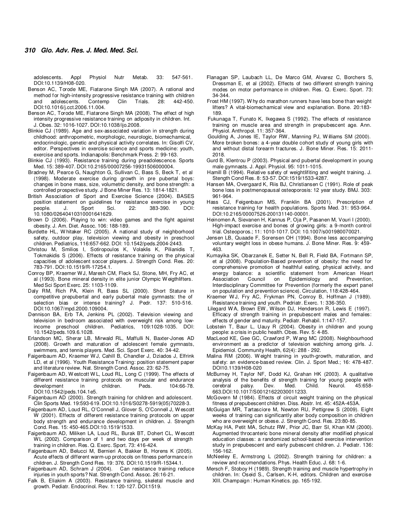adolescents. Appl Physiol Nutr Metab. 33: 547-561. DOI:10.1139/H08-020.

- Benson AC, Torode ME, Fiatarone Singh MA (2007). A rational and method for high-intensity progressive resistance training with children and adolescents. Contemp Clin Trials. 28: 442-450. DOI:10.1016/j.cct.2006.11.004.
- Benson AC, Torode ME, Fiatarone Singh MA (2008). The effect of high intensity progressive resistance training on adiposity in children. Int. J. Obes. 32: 1016-1027. DOI:10.1038/ijo.2008.
- Blinkie CJ (1989). Age and sex-associated variation in strength during childhood: anthropometric, morphologic, neurologic, biomechamical, endocrinologic, genetic and physical activity correlates. In: Gisolfi CV, editor. Perspectives in exercise science and sports medicine: youth, exercise and sports. Indianapolis: Benchmark Press. 2: 99-163.
- Blinkie CJ (1993). Resistance training during preadolescence. Sports Med. 15: 389-407. DOI:10.2165/00007256-19931506000004.
- Bradney M, Pearce G, Naughton G, Sullivan C, Bass S, Beck T, et al (1998). Moderate exercise during growth in pre pubertal boys: changes in bone mass, size, volumetric density, and bone strength: a controlled prospective study. J Bone Miner Res. 13: 1814-1821.
- British Association of Sport and Exercise Science (2004). BASES position statement on guidelines for resistance exercise in young people. J. Sport Sci. 22: 383-390. DOI: 10.1080/02640410310001641629.
- Brown D (2006). Playing to win: video games and the fight against obesity. J. Am. Diet. Assoc. 106: 188-189.
- Burdette HL, W hitaker RC (2005). A national study of neighborhood safety, outdoor play, television viewing and obesity in preschool children. Pediatrics, 116:657-662. DOI: 10.1542/peds.2004-2443.
- Christou M, Smilios I, Sotiropoulos K, Volaklis K, Pilianidis T, Tokmakidis S (2006). Effects of resistance training on the physical capacities of adolescent soccer players. J. Strength Cond. Res. 20: 783-791. DOI:10.1519/R-17254.1.
- Conroy BP, Kraemer W J, Maresh CM, Fleck SJ, Stone, MH, Fry AC, et al (1993). Bone mineral density in elite junior Olympic W eigthlifters. Med Sci Sport Exerc. 25: 1103-1109.
- Daly RM, Rich PA, Klein R, Bass SL (2000). Short Stature in competitive prepubertal and early pubertal male gymnasts: the of selection bias or intense training? J. Pedr. 137: 510-516. DOI:10.1067/mpd.2000.109004.
- Dennison BA, Erb TA, Jenkins PL (2002). Television viewing and television in bedroom associated with overweight risk among lowincome preschool children. Pediatrics, 109:1028-1035. DOI: 10.1542/peds.109.6.1028.
- Erlandson MC, Sherar LB, Mirwald RL, Maffulli N, Baxter-Jones AD (2008). Growth and maturation of adolescent female gymnasts, swimmers, and tennis players. Med. Sci. Sport Exerc. 40: 34-42.
- Faigenbaum AD, Kraemer W J, Cahill B, Chandler J, Dziados J, Elfrink LD, et al (1996). Youth Resistance Training: position statement paper and literature review. Nat. Strength Cond. Assoc. 23: 62-75.
- Faigenbaum AD, W estcott W L, Loud RL, Long C (1999). The effects of different resistance training protocols on muscular and endurance<br>development in children. Peds. 104:66-78. development in children. Peds. DOI:10.1542/peds.104.1e5.
- Faigenbaum AD (2000). Strength training for children and adolescent. Clin Sports Med. 19:593-619. DOI:10.1016/S0278-5919(05)70228-3.
- Faigenbaum AD, Loud RL, O'Connell J, Glover S, O'Connell J, W escott W (2001). Effects of different resistance training protocols on upper body strength and endurance development in children. J. Strength Cond. Res. 15: 450-465.DOI:10.1519/1533.
- Faigenbaum AD, Miliken LA, Loud RL, Burak BT, Dohert CL, W escott WL (2002). Comparison of 1 and two days per week of strength training in children. Res. Q. Exerc. Sport. 73: 416-424.
- Faigenbaum AD, Belucci M, Bernieri A, Bakker B, Horens K (2005). Acute effects of different warm-up protocols on fitness performance in children. J. Strength Cond Res. 19: 376. DOI:10.1519/R-15344.1.
- Faigenbaum AD, Schram J (2004). Can resistance training reduce injuries in youth sports? Nat. Strength Cond. Assoc. 26:16-21.
- Falk B, Eliakim A (2003). Resistance training, skeletal muscle and growth. Pediatr. Endocrinol. Rev. 1: 120-127. DOI:1519.
- Flanagan SP, Laubach LL, De Marco GM, Alvarez C, Borchers S, Dressman E, et al (2002). Effects of two different strength training modes on motor performance in children. Res. Q. Exerc. Sport. 73: 34-344.
- Frost HM (1997). W hy do marathon runners have less bone than weight lifters? A vital-biomechamical view and explanation. Bone. 20:183- 189.
- Fukunaga T, Funato K, Ikegawa S (1992). The effects of resistance training on muscle area and strength in prepubescent age. Ann. Physiol. Anthropol. 11: 357-364.
- Goulding A, Jones IE, Taylor RW , Manning PJ, W illiams SM (2000). More broken bones: a 4-year double cohort study of young girls with and without distal forearm fractures. J. Bone Miner. Res. 15: 2011- 2018.
- Gurd B, Klentrou P (2003). Physical and pubertal development in young male gymnasts. J. Appl. Physiol. 95: 1011-1015.
- Hamill B (1994). Relative safety of weightlifiting and weight training. J. Stength Cond Res. 8: 53-57. DOI:1519/1533-4287.
- Hansen MA, Overgaard K, Riis BJ, Christiansen C (1991). Role of peak bone loss in postmenopausal osteoporosis: 12 year study. BMJ. 303: 961-964.
- Hass CJ, Feigenbaun MS, Franklin BA (2001). Prescription of resistance training for health populations. Sports Med. 31: 953-964. DOI:10.2165/00007526-200131140-00001.
- Heinomen A, Sievanen H, Kannus P, Oja P, Pasanen M, Vouri I (2000). High-impact exercise and bones of growing girls: a 9-month control trial. Osteoporos.; 11: 1010-1017. DOI: 10.1007/s001980070021.
- Jensen LB, Quaade F, Sorensen OH (1994). Bone less accompanying voluntary weight loss in obese humans. J. Bone Miner. Res. 9: 459- 463.
- Kumayika SK, Obarzanek E, Setter N, Bell R, Field BA, Fortmann SP, et al (2008). Population-Based prevention of obesity: the need for comprehensive promotion of healthful eating, physical activity, and energy balance: a scientific statement from American Heart Association Council on Epidemiology and Prevention, Interdisciplinary Committee for Prevention (formerly the expert panel on population and prevention science). Circulation, 118:428-464.
- Kraemer WJ, Fry AC, Frykman PN, Conroy B, Hoffman J (1989). Resistance training and youth. Pedriatr. Exerc. 1: 336-350.
- Lilegard W A, Brown EW , Wilson DJ, Henderson R, Lewis E (1997). Efficacy of strength training in prepubescent males and females: effects of gender and maturity. Pediatr. Rehabil. 1:147-157.
- Lobstein T, Baur L, Uauy R (2004). Obesity in children and young people: a crisis in public health. Obes. Rev. 5: 4-85.
- MacLeod KE, Gee GC, Crawford P, W ang MC (2008). Neighbourhood environment as a predictor of television watching among girls. J. Epidemiol. Community Health, 62(4): 288 - 292.
- Malina RM (2006). W eight training in youth-growth, maturation, and safety: an evidence-based review. Clin. J. Sport Med.; 16: 478-487. DOI10.1139/H08-020
- McBurney H, Taylor NF, Dodd KJ, Grahan HK (2003). A qualitative analysis of the benefits of strength training for young people with cerebral palsy. Dev. Med. Child. Neurol. 45:658- 663.DOI:10.1017/S00121622030011233.
- McGovern M (1984). Effects of circuit weight training on the physical fitness of prepubescent children. Diss. Abstr. Int. 45: 452A-453A.
- McGuigan MR, Tartasciore M, Newton RU, Pettigrew S (2009). Eight weeks of training can significantly alter body composition in children who are overweight or obese. J. Strength Cond. Res. 23:80-85.
- McKay HA, Petit MA, Schutz RW , Prior JC, Barr SI, Khan KM (2000). Augmented throcanteric bone mineral density after modified physical education classes: a randomized school-based exercise intervention study in prepubescent and early pubescent children. J. Pediatr. 136: 156-162.
- McNeeley E, Armstrong L (2002). Strength training for children: a review and recomendations. Phys. Health Educ. J. 68: 1-6.
- Mersch F, Stoboy H (1989). Strength training and muscle hypertrophy in children. In: Oseid S., Carlsen, K-H, editors. Children and exercise XIII. Champaign : Human Kinetics. pp. 165-192.